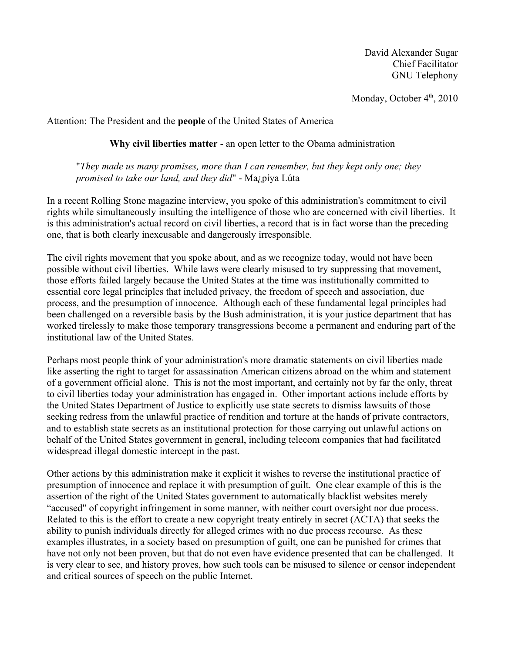David Alexander Sugar Chief Facilitator GNU Telephony

Monday, October 4<sup>th</sup>, 2010

Attention: The President and the **people** of the United States of America

**Why civil liberties matter** - an open letter to the Obama administration

"*They made us many promises, more than I can remember, but they kept only one; they promised to take our land, and they did*" - Ma¿píya Lúta

In a recent Rolling Stone magazine interview, you spoke of this administration's commitment to civil rights while simultaneously insulting the intelligence of those who are concerned with civil liberties. It is this administration's actual record on civil liberties, a record that is in fact worse than the preceding one, that is both clearly inexcusable and dangerously irresponsible.

The civil rights movement that you spoke about, and as we recognize today, would not have been possible without civil liberties. While laws were clearly misused to try suppressing that movement, those efforts failed largely because the United States at the time was institutionally committed to essential core legal principles that included privacy, the freedom of speech and association, due process, and the presumption of innocence. Although each of these fundamental legal principles had been challenged on a reversible basis by the Bush administration, it is your justice department that has worked tirelessly to make those temporary transgressions become a permanent and enduring part of the institutional law of the United States.

Perhaps most people think of your administration's more dramatic statements on civil liberties made like asserting the right to target for assassination American citizens abroad on the whim and statement of a government official alone. This is not the most important, and certainly not by far the only, threat to civil liberties today your administration has engaged in. Other important actions include efforts by the United States Department of Justice to explicitly use state secrets to dismiss lawsuits of those seeking redress from the unlawful practice of rendition and torture at the hands of private contractors, and to establish state secrets as an institutional protection for those carrying out unlawful actions on behalf of the United States government in general, including telecom companies that had facilitated widespread illegal domestic intercept in the past.

Other actions by this administration make it explicit it wishes to reverse the institutional practice of presumption of innocence and replace it with presumption of guilt. One clear example of this is the assertion of the right of the United States government to automatically blacklist websites merely "accused" of copyright infringement in some manner, with neither court oversight nor due process. Related to this is the effort to create a new copyright treaty entirely in secret (ACTA) that seeks the ability to punish individuals directly for alleged crimes with no due process recourse. As these examples illustrates, in a society based on presumption of guilt, one can be punished for crimes that have not only not been proven, but that do not even have evidence presented that can be challenged. It is very clear to see, and history proves, how such tools can be misused to silence or censor independent and critical sources of speech on the public Internet.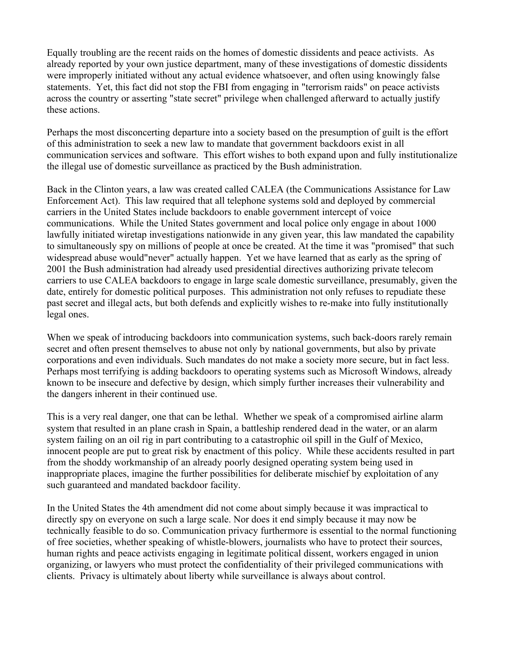Equally troubling are the recent raids on the homes of domestic dissidents and peace activists. As already reported by your own justice department, many of these investigations of domestic dissidents were improperly initiated without any actual evidence whatsoever, and often using knowingly false statements. Yet, this fact did not stop the FBI from engaging in "terrorism raids" on peace activists across the country or asserting "state secret" privilege when challenged afterward to actually justify these actions.

Perhaps the most disconcerting departure into a society based on the presumption of guilt is the effort of this administration to seek a new law to mandate that government backdoors exist in all communication services and software. This effort wishes to both expand upon and fully institutionalize the illegal use of domestic surveillance as practiced by the Bush administration.

Back in the Clinton years, a law was created called CALEA (the Communications Assistance for Law Enforcement Act). This law required that all telephone systems sold and deployed by commercial carriers in the United States include backdoors to enable government intercept of voice communications. While the United States government and local police only engage in about 1000 lawfully initiated wiretap investigations nationwide in any given year, this law mandated the capability to simultaneously spy on millions of people at once be created. At the time it was "promised" that such widespread abuse would"never" actually happen. Yet we have learned that as early as the spring of 2001 the Bush administration had already used presidential directives authorizing private telecom carriers to use CALEA backdoors to engage in large scale domestic surveillance, presumably, given the date, entirely for domestic political purposes. This administration not only refuses to repudiate these past secret and illegal acts, but both defends and explicitly wishes to re-make into fully institutionally legal ones.

When we speak of introducing backdoors into communication systems, such back-doors rarely remain secret and often present themselves to abuse not only by national governments, but also by private corporations and even individuals. Such mandates do not make a society more secure, but in fact less. Perhaps most terrifying is adding backdoors to operating systems such as Microsoft Windows, already known to be insecure and defective by design, which simply further increases their vulnerability and the dangers inherent in their continued use.

This is a very real danger, one that can be lethal. Whether we speak of a compromised airline alarm system that resulted in an plane crash in Spain, a battleship rendered dead in the water, or an alarm system failing on an oil rig in part contributing to a catastrophic oil spill in the Gulf of Mexico, innocent people are put to great risk by enactment of this policy. While these accidents resulted in part from the shoddy workmanship of an already poorly designed operating system being used in inappropriate places, imagine the further possibilities for deliberate mischief by exploitation of any such guaranteed and mandated backdoor facility.

In the United States the 4th amendment did not come about simply because it was impractical to directly spy on everyone on such a large scale. Nor does it end simply because it may now be technically feasible to do so. Communication privacy furthermore is essential to the normal functioning of free societies, whether speaking of whistle-blowers, journalists who have to protect their sources, human rights and peace activists engaging in legitimate political dissent, workers engaged in union organizing, or lawyers who must protect the confidentiality of their privileged communications with clients. Privacy is ultimately about liberty while surveillance is always about control.